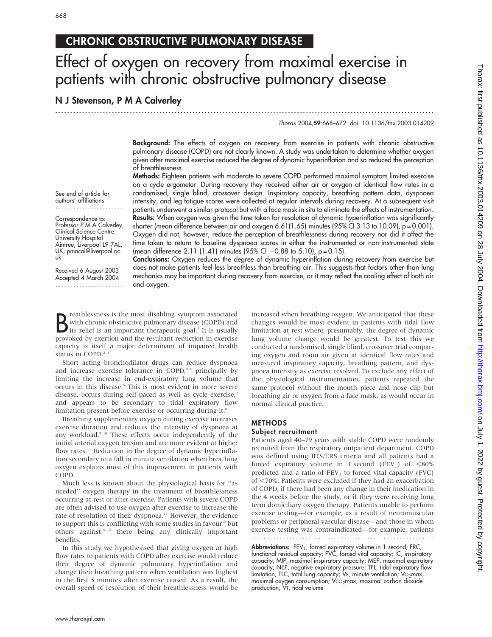# CHRONIC OBSTRUCTIVE PULMONARY DISEASE

# Effect of oxygen on recovery from maximal exercise in patients with chronic obstructive pulmonary disease

...............................................................................................................................

N J Stevenson, P M A Calverley

Thorax 2004;59:668–672. doi: 10.1136/thx.2003.014209

Background: The effects of oxygen on recovery from exercise in patients with chronic obstructive pulmonary disease (COPD) are not clearly known. A study was undertaken to determine whether oxygen given after maximal exercise reduced the degree of dynamic hyperinflation and so reduced the perception of breathlessness.

Methods: Eighteen patients with moderate to severe COPD performed maximal symptom limited exercise on a cycle ergometer. During recovery they received either air or oxygen at identical flow rates in a randomised, single blind, crossover design. Inspiratory capacity, breathing pattern data, dyspnoea intensity, and leg fatigue scores were collected at regular intervals during recovery. At a subsequent visit patients underwent a similar protocol but with a face mask in situ to eliminate the effects of instrumentation. Results: When oxygen was given the time taken for resolution of dynamic hyperinflation was significantly shorter (mean difference between air and oxygen 6.61(1.65) minutes (95% CI 3.13 to 10.09), p = 0.001). Oxygen did not, however, reduce the perception of breathlessness during recovery nor did it affect the time taken to return to baseline dyspnoea scores in either the instrumented or non-instrumented state (mean difference 2.11 (1.41) minutes (95% CI  $-0.88$  to 5.10), p = 0.15).

See end of article for authors' affiliations .......................

Correspondence to: Professor P M A Calverley, Clinical Science Centre, University Hospital Aintree, Liverpool L9 7AL, UK; pmacal@liverpool.ac. uk

Received 6 August 2003 Accepted 4 March 2004 ....................... Conclusions: Oxygen reduces the degree of dynamic hyperinflation during recovery from exercise but does not make patients feel less breathless than breathing air. This suggests that factors other than lung mechanics may be important during recovery from exercise, or it may reflect the cooling effect of both air and oxygen.

**B** reathlessness is the most disabling symptom associated<br>with chronic obstructive pulmonary disease (COPD) and<br>its relief is an important therapeutic goal.<sup>1</sup> It is usually<br>provoked by exertion and the resultant reductio reathlessness is the most disabling symptom associated with chronic obstructive pulmonary disease (COPD) and provoked by exertion and the resultant reduction in exercise capacity is itself a major determinant of impaired health status in COPD.<sup>2 3</sup>

Short acting bronchodilator drugs can reduce dyspnoea and increase exercise tolerance in COPD, $45$  principally by limiting the increase in end-expiratory lung volume that occurs in this disease.<sup>6</sup> This is most evident in more severe disease, occurs during self-paced as well as cycle exercise,7 and appears to be secondary to tidal expiratory flow limitation present before exercise or occurring during it.8

Breathing supplementary oxygen during exercise increases exercise duration and reduces the intensity of dyspnoea at any workload.<sup>9 10</sup> These effects occur independently of the initial arterial oxygen tension and are more evident at higher flow rates.<sup>11</sup> Reduction in the degree of dynamic hyperinflation secondary to a fall in minute ventilation when breathing oxygen explains most of this improvement in patients with COPD.

Much less is known about the physiological basis for ''as needed'' oxygen therapy in the treatment of breathlessness occurring at rest or after exercise. Patients with severe COPD are often advised to use oxygen after exercise to increase the rate of resolution of their dyspnoea.<sup>12</sup> However, the evidence to support this is conflicting with some studies in favour<sup>13</sup> but others against<sup>14 15</sup> there being any clinically important benefits.

In this study we hypothesised that giving oxygen at high flow rates to patients with COPD after exercise would reduce their degree of dynamic pulmonary hyperinflation and change their breathing pattern when ventilation was highest in the first 5 minutes after exercise ceased. As a result, the overall speed of resolution of their breathlessness would be

increased when breathing oxygen. We anticipated that these changes would be most evident in patients with tidal flow limitation at rest where, presumably, the degree of dynamic lung volume change would be greatest. To test this we conducted a randomised, single blind, crossover trial comparing oxygen and room air given at identical flow rates and measured inspiratory capacity, breathing pattern, and dyspnoea intensity as exercise resolved. To exclude any effect of the physiological instrumentation, patients repeated the same protocol without the mouth piece and nose clip but breathing air or oxygen from a face mask, as would occur in normal clinical practice.

# METHODS

## Subject recruitment

Patients aged 40–79 years with stable COPD were randomly recruited from the respiratory outpatient department. COPD was defined using BTS/ERS criteria and all patients had a forced expiratory volume in 1 second (FEV<sub>1</sub>) of  $<80\%$ predicted and a ratio of  $FEV<sub>1</sub>$  to forced vital capacity (FVC) of <70%. Patients were excluded if they had an exacerbation of COPD, if there had been any change in their medication in the 4 weeks before the study, or if they were receiving long term domiciliary oxygen therapy. Patients unable to perform exercise testing—for example, as a result of neuromuscular problems or peripheral vascular disease—and those in whom exercise testing was contraindicated—for example, patients

Abbreviations:  $FEV<sub>1</sub>$ , forced expiratory volume in 1 second; FRC, functional residual capacity; FVC, forced vital capacity; IC, inspiratory capacity; MIP, maximal inspiratory capacity; MEP, maximal expiratory capacity; NEP, negative expiratory pressure; TFL, tidal expiratory flow limitation; TLC, total lung capacity; VE, minute ventilation; VO2max, maximal oxygen consumption; VCO<sub>2</sub>max, maximal carbon dioxide production; VT, tidal volume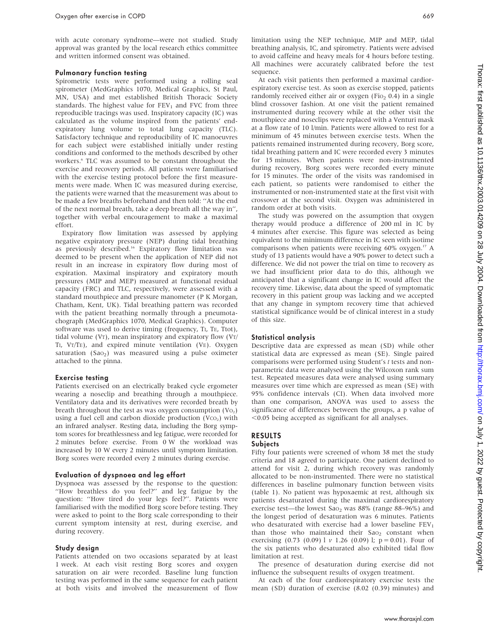with acute coronary syndrome—were not studied. Study approval was granted by the local research ethics committee and written informed consent was obtained.

#### Pulmonary function testing

Spirometric tests were performed using a rolling seal spirometer (MedGraphics 1070, Medical Graphics, St Paul, MN, USA) and met established British Thoracic Society standards. The highest value for  $FEV<sub>1</sub>$  and FVC from three reproducible tracings was used. Inspiratory capacity (IC) was calculated as the volume inspired from the patients' endexpiratory lung volume to total lung capacity (TLC). Satisfactory technique and reproducibility of IC manoeuvres for each subject were established initially under resting conditions and conformed to the methods described by other workers.6 TLC was assumed to be constant throughout the exercise and recovery periods. All patients were familiarised with the exercise testing protocol before the first measurements were made. When IC was measured during exercise, the patients were warned that the measurement was about to be made a few breaths beforehand and then told: ''At the end of the next normal breath, take a deep breath all the way in'', together with verbal encouragement to make a maximal effort.

Expiratory flow limitation was assessed by applying negative expiratory pressure (NEP) during tidal breathing as previously described.<sup>16</sup> Expiratory flow limitation was deemed to be present when the application of NEP did not result in an increase in expiratory flow during most of expiration. Maximal inspiratory and expiratory mouth pressures (MIP and MEP) measured at functional residual capacity (FRC) and TLC, respectively, were assessed with a standard mouthpiece and pressure manometer (P K Morgan, Chatham, Kent, UK). Tidal breathing pattern was recorded with the patient breathing normally through a pneumotachograph (MedGraphics 1070, Medical Graphics). Computer software was used to derive timing (frequency, TI, TE, Ttot), tidal volume (V $T$ ), mean inspiratory and expiratory flow (V $T$ / TI, VT/TE), and expired minute ventilation (VE). Oxygen saturation  $(Sao<sub>2</sub>)$  was measured using a pulse oximeter attached to the pinna.

#### Exercise testing

Patients exercised on an electrically braked cycle ergometer wearing a noseclip and breathing through a mouthpiece. Ventilatory data and its derivatives were recorded breath by breath throughout the test as was oxygen consumption  $(VO<sub>2</sub>)$ using a fuel cell and carbon dioxide production  $(VCO<sub>2</sub>)$  with an infrared analyser. Resting data, including the Borg symptom scores for breathlessness and leg fatigue, were recorded for 2 minutes before exercise. From 0 W the workload was increased by 10 W every 2 minutes until symptom limitation. Borg scores were recorded every 2 minutes during exercise.

#### Evaluation of dyspnoea and leg effort

Dyspnoea was assessed by the response to the question: ''How breathless do you feel?'' and leg fatigue by the question: ''How tired do your legs feel?''. Patients were familiarised with the modified Borg score before testing. They were asked to point to the Borg scale corresponding to their current symptom intensity at rest, during exercise, and during recovery.

#### Study design

Patients attended on two occasions separated by at least 1 week. At each visit resting Borg scores and oxygen saturation on air were recorded. Baseline lung function testing was performed in the same sequence for each patient at both visits and involved the measurement of flow limitation using the NEP technique, MIP and MEP, tidal breathing analysis, IC, and spirometry. Patients were advised to avoid caffeine and heavy meals for 4 hours before testing. All machines were accurately calibrated before the test sequence.

At each visit patients then performed a maximal cardiorespiratory exercise test. As soon as exercise stopped, patients randomly received either air or oxygen (Fio<sub>2</sub> 0.4) in a single blind crossover fashion. At one visit the patient remained instrumented during recovery while at the other visit the mouthpiece and noseclips were replaced with a Venturi mask at a flow rate of 10 l/min. Patients were allowed to rest for a minimum of 45 minutes between exercise tests. When the patients remained instrumented during recovery, Borg score, tidal breathing pattern and IC were recorded every 3 minutes for 15 minutes. When patients were non-instrumented during recovery, Borg scores were recorded every minute for 15 minutes. The order of the visits was randomised in each patient, so patients were randomised to either the instrumented or non-instrumented state at the first visit with crossover at the second visit. Oxygen was administered in random order at both visits.

The study was powered on the assumption that oxygen therapy would produce a difference of 200 ml in IC by 4 minutes after exercise. This figure was selected as being equivalent to the minimum difference in IC seen with isotime comparisons when patients were receiving 60% oxygen.17 A study of 13 patients would have a 90% power to detect such a difference. We did not power the trial on time to recovery as we had insufficient prior data to do this, although we anticipated that a significant change in IC would affect the recovery time. Likewise, data about the speed of symptomatic recovery in this patient group was lacking and we accepted that any change in symptom recovery time that achieved statistical significance would be of clinical interest in a study of this size.

#### Statistical analysis

Descriptive data are expressed as mean (SD) while other statistical data are expressed as mean (SE). Single paired comparisons were performed using Student's t tests and nonparametric data were analysed using the Wilcoxon rank sum test. Repeated measures data were analysed using summary measures over time which are expressed as mean (SE) with 95% confidence intervals (CI). When data involved more than one comparison, ANOVA was used to assess the significance of differences between the groups, a p value of  $<$ 0.05 being accepted as significant for all analyses.

# RESULTS

### **Subjects**

Fifty four patients were screened of whom 38 met the study criteria and 18 agreed to participate. One patient declined to attend for visit 2, during which recovery was randomly allocated to be non-instrumented. There were no statistical differences in baseline pulmonary function between visits (table 1). No patient was hypoxaemic at rest, although six patients desaturated during the maximal cardiorespiratory exercise test—the lowest  $Sao_2$  was 88% (range 88–96%) and the longest period of desaturation was 6 minutes. Patients who desaturated with exercise had a lower baseline  $FEV<sub>1</sub>$ than those who maintained their  $Sao<sub>2</sub>$  constant when exercising  $(0.73 \ (0.09) \ l \nu \ 1.26 \ (0.09) \ l; \ p = 0.01)$ . Four of the six patients who desaturated also exhibited tidal flow limitation at rest.

The presence of desaturation during exercise did not influence the subsequent results of oxygen treatment.

At each of the four cardiorespiratory exercise tests the mean (SD) duration of exercise (8.02 (0.39) minutes) and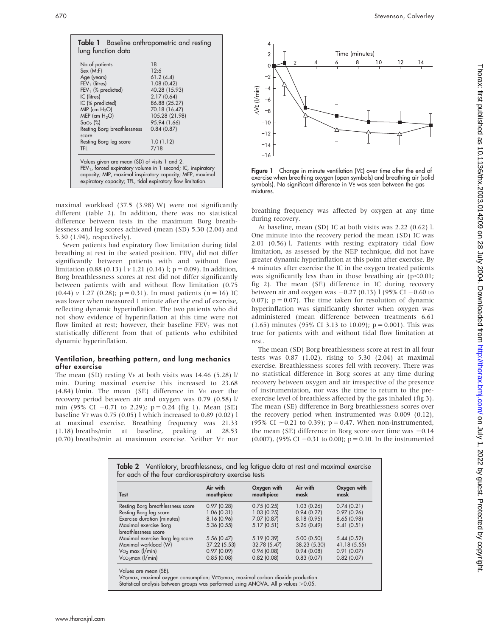| 670 | Stevenson, Calverley |
|-----|----------------------|
|-----|----------------------|

| No of patients                                | 18                                                                                                                                                                                         |
|-----------------------------------------------|--------------------------------------------------------------------------------------------------------------------------------------------------------------------------------------------|
| Sex (M: F)                                    | 12:6                                                                                                                                                                                       |
| Age (years)                                   | 61.2(4.4)                                                                                                                                                                                  |
| $FEV1$ (litres)                               | 1.08(0.42)                                                                                                                                                                                 |
| $FEV1$ (% predicted)                          | 40.28 (15.93)                                                                                                                                                                              |
| IC (litres)                                   | 2.17(0.64)                                                                                                                                                                                 |
| IC (% predicted)                              | 86.88 (25.27)                                                                                                                                                                              |
| $MIP$ (cm $H_2O$ )                            | 70.18 (16.47)                                                                                                                                                                              |
| $MEP$ (cm $H_2O$ )                            | 105.28 (21.98)                                                                                                                                                                             |
| Sao, (%)                                      | 95.94 (1.66)                                                                                                                                                                               |
| Resting Borg breathlessness<br>score          | 0.84(0.87)                                                                                                                                                                                 |
| Resting Borg leg score                        | 1.0(1.12)                                                                                                                                                                                  |
| <b>TFI</b>                                    | 7/18                                                                                                                                                                                       |
| Values given are mean (SD) of visits 1 and 2. | $FEV1$ , forced expiratory volume in 1 second; IC, inspiratory<br>capacity; MIP, maximal inspiratory capacity; MEP, maximal<br>expiratory capacity; TFL, tidal expiratory flow limitation. |

maximal workload (37.5 (3.98) W) were not significantly different (table 2). In addition, there was no statistical difference between tests in the maximum Borg breathlessness and leg scores achieved (mean (SD) 5.30 (2.04) and 5.30 (1.94), respectively).

Seven patients had expiratory flow limitation during tidal breathing at rest in the seated position.  $FEV<sub>1</sub>$  did not differ significantly between patients with and without flow limitation (0.88 (0.13)  $l \nu$  1.21 (0.14) l; p = 0.09). In addition, Borg breathlessness scores at rest did not differ significantly between patients with and without flow limitation (0.75  $(0.44)$  v 1.27  $(0.28)$ ; p = 0.31). In most patients (n = 16) IC was lower when measured 1 minute after the end of exercise, reflecting dynamic hyperinflation. The two patients who did not show evidence of hyperinflation at this time were not flow limited at rest; however, their baseline  $FEV<sub>1</sub>$  was not statistically different from that of patients who exhibited dynamic hyperinflation.

#### Ventilation, breathing pattern, and lung mechanics after exercise

The mean (SD) resting VE at both visits was 14.46 (5.28)  $\frac{1}{2}$ min. During maximal exercise this increased to 23.68 (4.84) l/min. The mean (SE) difference in VE over the recovery period between air and oxygen was 0.79 (0.58) l/ min (95% CI -0.71 to 2.29);  $p = 0.24$  (fig 1). Mean (SE) baseline VT was 0.75 (0.05) l which increased to 0.89 (0.02) l at maximal exercise. Breathing frequency was 21.33 (1.18) breaths/min at baseline, peaking at 28.53 (0.70) breaths/min at maximum exercise. Neither VT nor



Figure 1 Change in minute ventilation (VE) over time after the end of exercise when breathing oxygen (open symbols) and breathing air (solid symbols). No significant difference in VE was seen between the gas mixtures.

breathing frequency was affected by oxygen at any time during recovery.

At baseline, mean (SD) IC at both visits was 2.22 (0.62) l. One minute into the recovery period the mean (SD) IC was 2.01 (0.56) l. Patients with resting expiratory tidal flow limitation, as assessed by the NEP technique, did not have greater dynamic hyperinflation at this point after exercise. By 4 minutes after exercise the IC in the oxygen treated patients was significantly less than in those breathing air  $(p<0.01;$ fig 2). The mean (SE) difference in IC during recovery between air and oxygen was  $-0.27$  (0.13) l (95% CI  $-0.60$  to 0.07);  $p = 0.07$ . The time taken for resolution of dynamic hyperinflation was significantly shorter when oxygen was administered (mean difference between treatments 6.61  $(1.65)$  minutes (95% CI 3.13 to 10.09); p = 0.001). This was true for patients with and without tidal flow limitation at rest.

The mean (SD) Borg breathlessness score at rest in all four tests was 0.87 (1.02), rising to 5.30 (2.04) at maximal exercise. Breathlessness scores fell with recovery. There was no statistical difference in Borg scores at any time during recovery between oxygen and air irrespective of the presence of instrumentation, nor was the time to return to the preexercise level of breathless affected by the gas inhaled (fig 3). The mean (SE) difference in Borg breathlessness scores over the recovery period when instrumented was 0.009 (0.12), (95% CI  $-0.21$  to 0.39); p = 0.47. When non-instrumented, the mean (SE) difference in Borg score over time was  $-0.14$ (0.007), (95% CI -0.31 to 0.00);  $p = 0.10$ . In the instrumented

| <b>Test</b>                                      | Air with<br>mouthpiece | Oxygen with<br>mouthpiece | Air with<br>mask | Oxygen with<br>mask |
|--------------------------------------------------|------------------------|---------------------------|------------------|---------------------|
| Resting Borg breathlessness score                | 0.97(0.28)             | 0.75(0.25)                | 1.03(0.26)       | 0.74(0.21)          |
| Resting Borg leg score                           | 1.06(0.31)             | 1.03(0.25)                | 0.94(0.27)       | 0.97(0.26)          |
| Exercise duration (minutes)                      | 8.16 (0.96)            | 7.07 (0.87)               | 8.18(0.95)       | 8.65(0.98)          |
| Maximal exercise Borg<br>breathlessness score    | 5.36 (0.55)            | 5.17(0.51)                | 5.26 (0.49)      | 5.41(0.51)          |
| Maximal exercise Borg leg score                  | 5.56(0.47)             | 5.19(0.39)                | 5.00(0.50)       | 5.44(0.52)          |
| Maximal workload (W)                             | 37.22 (5.53)           | 32.78 (5.47)              | 38.23 (5.30)     | 41.18 (5.55)        |
| $\sqrt{2}$ max ( $\sqrt{2}$ ) min)               | 0.97(0.09)             | 0.94(0.08)                | 0.94(0.08)       | 0.91(0.07)          |
| $V_{\text{CO}_2}$ max ( $\frac{1}{\text{min}}$ ) | 0.85(0.08)             | 0.82(0.08)                | 0.83(0.07)       | 0.82(0.07)          |

V $\circ$ 2max, maximal oxygen consumption; V $\circ$ 2max, maximal carbon dioxide production. Statistical analysis between groups was performed using ANOVA. All p values > 0.05.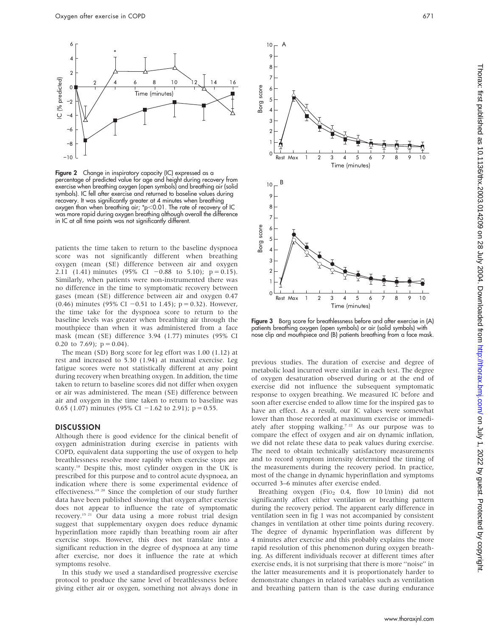

Figure 2 Change in inspiratory capacity (IC) expressed as a percentage of predicted value for age and height during recovery from exercise when breathing oxygen (open symbols) and breathing air (solid symbols). IC fell after exercise and returned to baseline values during recovery. It was significantly greater at 4 minutes when breathing oxygen than when breathing air; \*p<0.01. The rate of recovery of IC was more rapid during oxygen breathing although overall the difference in IC at all time points was not significantly different.

patients the time taken to return to the baseline dyspnoea score was not significantly different when breathing oxygen (mean (SE) difference between air and oxygen 2.11 (1.41) minutes (95% CI -0.88 to 5.10);  $p = 0.15$ ). Similarly, when patients were non-instrumented there was no difference in the time to symptomatic recovery between gases (mean (SE) difference between air and oxygen 0.47 (0.46) minutes (95% CI -0.51 to 1.45); p = 0.32). However, the time take for the dyspnoea score to return to the baseline levels was greater when breathing air through the mouthpiece than when it was administered from a face mask (mean (SE) difference 3.94 (1.77) minutes (95% CI 0.20 to 7.69);  $p = 0.04$ .

The mean (SD) Borg score for leg effort was 1.00 (1.12) at rest and increased to 5.30 (1.94) at maximal exercise. Leg fatigue scores were not statistically different at any point during recovery when breathing oxygen. In addition, the time taken to return to baseline scores did not differ when oxygen or air was administered. The mean (SE) difference between air and oxygen in the time taken to return to baseline was 0.65 (1.07) minutes (95% CI -1.62 to 2.91); p = 0.55.

#### **DISCUSSION**

Although there is good evidence for the clinical benefit of oxygen administration during exercise in patients with COPD, equivalent data supporting the use of oxygen to help breathlessness resolve more rapidly when exercise stops are scanty.<sup>18</sup> Despite this, most cylinder oxygen in the UK is prescribed for this purpose and to control acute dyspnoea, an indication where there is some experimental evidence of effectiveness.<sup>19 20</sup> Since the completion of our study further data have been published showing that oxygen after exercise does not appear to influence the rate of symptomatic recovery.15 21 Our data using a more robust trial design suggest that supplementary oxygen does reduce dynamic hyperinflation more rapidly than breathing room air after exercise stops. However, this does not translate into a significant reduction in the degree of dyspnoea at any time after exercise, nor does it influence the rate at which symptoms resolve.

In this study we used a standardised progressive exercise protocol to produce the same level of breathlessness before giving either air or oxygen, something not always done in



Figure 3 Borg score for breathlessness before and after exercise in (A) patients breathing oxygen (open symbols) or air (solid symbols) with nose clip and mouthpiece and (B) patients breathing from a face mask.

previous studies. The duration of exercise and degree of metabolic load incurred were similar in each test. The degree of oxygen desaturation observed during or at the end of exercise did not influence the subsequent symptomatic response to oxygen breathing. We measured IC before and soon after exercise ended to allow time for the inspired gas to have an effect. As a result, our IC values were somewhat lower than those recorded at maximum exercise or immediately after stopping walking.<sup>7 22</sup> As our purpose was to compare the effect of oxygen and air on dynamic inflation, we did not relate these data to peak values during exercise. The need to obtain technically satisfactory measurements and to record symptom intensity determined the timing of the measurements during the recovery period. In practice, most of the change in dynamic hyperinflation and symptoms occurred 3–6 minutes after exercise ended.

Breathing oxygen (Fio<sub>2</sub> 0.4, flow 10 l/min) did not significantly affect either ventilation or breathing pattern during the recovery period. The apparent early difference in ventilation seen in fig 1 was not accompanied by consistent changes in ventilation at other time points during recovery. The degree of dynamic hyperinflation was different by 4 minutes after exercise and this probably explains the more rapid resolution of this phenomenon during oxygen breathing. As different individuals recover at different times after exercise ends, it is not surprising that there is more ''noise'' in the latter measurements and it is proportionately harder to demonstrate changes in related variables such as ventilation and breathing pattern than is the case during endurance